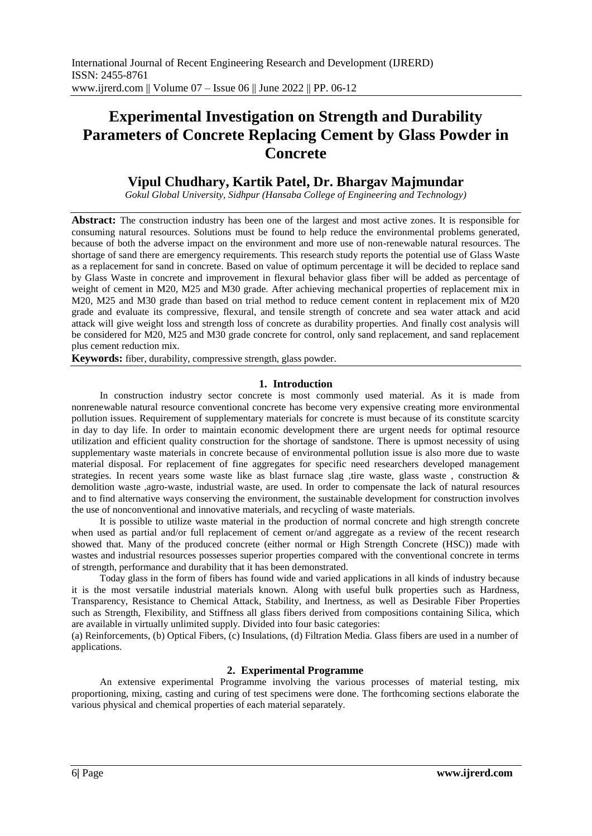# **Experimental Investigation on Strength and Durability Parameters of Concrete Replacing Cement by Glass Powder in Concrete**

# **Vipul Chudhary, Kartik Patel, Dr. Bhargav Majmundar**

*Gokul Global University, Sidhpur (Hansaba College of Engineering and Technology)*

**Abstract:** The construction industry has been one of the largest and most active zones. It is responsible for consuming natural resources. Solutions must be found to help reduce the environmental problems generated, because of both the adverse impact on the environment and more use of non-renewable natural resources. The shortage of sand there are emergency requirements. This research study reports the potential use of Glass Waste as a replacement for sand in concrete. Based on value of optimum percentage it will be decided to replace sand by Glass Waste in concrete and improvement in flexural behavior glass fiber will be added as percentage of weight of cement in M20, M25 and M30 grade. After achieving mechanical properties of replacement mix in M20, M25 and M30 grade than based on trial method to reduce cement content in replacement mix of M20 grade and evaluate its compressive, flexural, and tensile strength of concrete and sea water attack and acid attack will give weight loss and strength loss of concrete as durability properties. And finally cost analysis will be considered for M20, M25 and M30 grade concrete for control, only sand replacement, and sand replacement plus cement reduction mix.

**Keywords:** fiber, durability, compressive strength, glass powder.

# **1. Introduction**

In construction industry sector concrete is most commonly used material. As it is made from nonrenewable natural resource conventional concrete has become very expensive creating more environmental pollution issues. Requirement of supplementary materials for concrete is must because of its constitute scarcity in day to day life. In order to maintain economic development there are urgent needs for optimal resource utilization and efficient quality construction for the shortage of sandstone. There is upmost necessity of using supplementary waste materials in concrete because of environmental pollution issue is also more due to waste material disposal. For replacement of fine aggregates for specific need researchers developed management strategies. In recent years some waste like as blast furnace slag ,tire waste, glass waste , construction & demolition waste ,agro-waste, industrial waste, are used. In order to compensate the lack of natural resources and to find alternative ways conserving the environment, the sustainable development for construction involves the use of nonconventional and innovative materials, and recycling of waste materials.

It is possible to utilize waste material in the production of normal concrete and high strength concrete when used as partial and/or full replacement of cement or/and aggregate as a review of the recent research showed that. Many of the produced concrete (either normal or High Strength Concrete (HSC)) made with wastes and industrial resources possesses superior properties compared with the conventional concrete in terms of strength, performance and durability that it has been demonstrated.

Today glass in the form of fibers has found wide and varied applications in all kinds of industry because it is the most versatile industrial materials known. Along with useful bulk properties such as Hardness, Transparency, Resistance to Chemical Attack, Stability, and Inertness, as well as Desirable Fiber Properties such as Strength, Flexibility, and Stiffness all glass fibers derived from compositions containing Silica, which are available in virtually unlimited supply. Divided into four basic categories:

(a) Reinforcements, (b) Optical Fibers, (c) Insulations, (d) Filtration Media. Glass fibers are used in a number of applications.

# **2. Experimental Programme**

An extensive experimental Programme involving the various processes of material testing, mix proportioning, mixing, casting and curing of test specimens were done. The forthcoming sections elaborate the various physical and chemical properties of each material separately.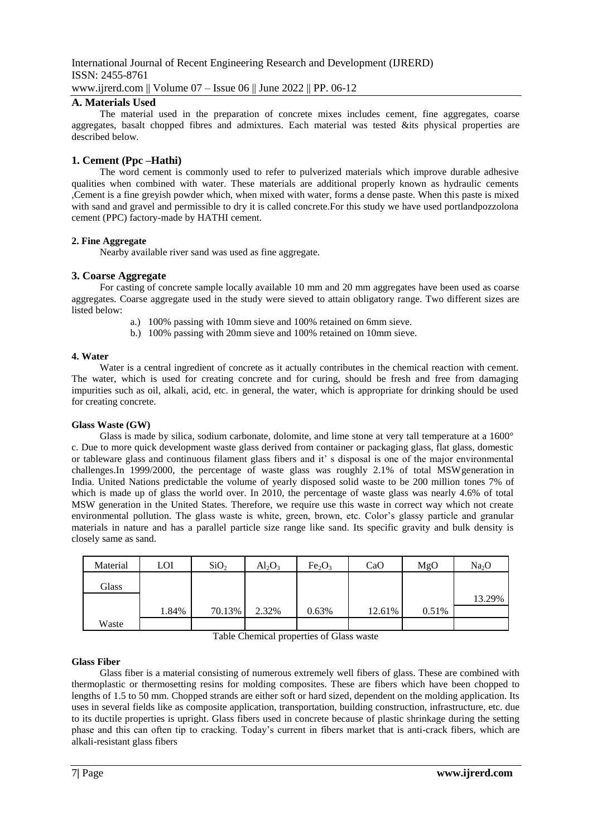International Journal of Recent Engineering Research and Development (IJRERD) ISSN: 2455-8761 www.ijrerd.com || Volume 07 – Issue 06 || June 2022 || PP. 06-12

# **A. Materials Used**

The material used in the preparation of concrete mixes includes cement, fine aggregates, coarse aggregates, basalt chopped fibres and admixtures. Each material was tested &its physical properties are described below.

# **1. Cement (Ppc –Hathi)**

The word cement is commonly used to refer to pulverized materials which improve durable adhesive qualities when combined with water. These materials are additional properly known as hydraulic cements ,Cement is a fine greyish powder which, when mixed with water, forms a dense paste. When this paste is mixed with sand and gravel and permissible to dry it is called concrete.For this study we have used portlandpozzolona cement (PPC) factory-made by HATHI cement.

# **2. Fine Aggregate**

Nearby available river sand was used as fine aggregate.

# **3. Coarse Aggregate**

For casting of concrete sample locally available 10 mm and 20 mm aggregates have been used as coarse aggregates. Coarse aggregate used in the study were sieved to attain obligatory range. Two different sizes are listed below:

- a.) 100% passing with 10mm sieve and 100% retained on 6mm sieve.
- b.) 100% passing with 20mm sieve and 100% retained on 10mm sieve.

#### **4. Water**

Water is a central ingredient of concrete as it actually contributes in the chemical reaction with cement. The water, which is used for creating concrete and for curing, should be fresh and free from damaging impurities such as oil, alkali, acid, etc. in general, the water, which is appropriate for drinking should be used for creating concrete.

#### **Glass Waste (GW)**

Glass is made by silica, sodium carbonate, dolomite, and lime stone at very tall temperature at a 1600° c. Due to more quick development waste glass derived from container or packaging glass, flat glass, domestic or tableware glass and continuous filament glass fibers and it' s disposal is one of the major environmental challenges.In 1999/2000, the percentage of waste glass was roughly 2.1% of total MSWgeneration in India. United Nations predictable the volume of yearly disposed solid waste to be 200 million tones 7% of which is made up of glass the world over. In 2010, the percentage of waste glass was nearly 4.6% of total MSW generation in the United States. Therefore, we require use this waste in correct way which not create environmental pollution. The glass waste is white, green, brown, etc. Color's glassy particle and granular materials in nature and has a parallel particle size range like sand. Its specific gravity and bulk density is closely same as sand.

| Material | LOI   | SiO <sub>2</sub> | $Al_2O_3$ | Fe <sub>2</sub> O <sub>3</sub> | CaO    | MgO   | Na <sub>2</sub> O |
|----------|-------|------------------|-----------|--------------------------------|--------|-------|-------------------|
| Glass    |       |                  |           |                                |        |       |                   |
|          |       |                  |           |                                |        |       | 13.29%            |
|          | 1.84% | 70.13%           | 2.32%     | 0.63%                          | 12.61% | 0.51% |                   |
| Waste    |       |                  |           |                                |        |       |                   |

Table Chemical properties of Glass waste

### **Glass Fiber**

Glass fiber is a material consisting of numerous extremely well fibers of glass. These are combined with thermoplastic or thermosetting resins for molding composites. These are fibers which have been chopped to lengths of 1.5 to 50 mm. Chopped strands are either soft or hard sized, dependent on the molding application. Its uses in several fields like as composite application, transportation, building construction, infrastructure, etc. due to its ductile properties is upright. Glass fibers used in concrete because of plastic shrinkage during the setting phase and this can often tip to cracking. Today's current in fibers market that is anti-crack fibers, which are alkali-resistant glass fibers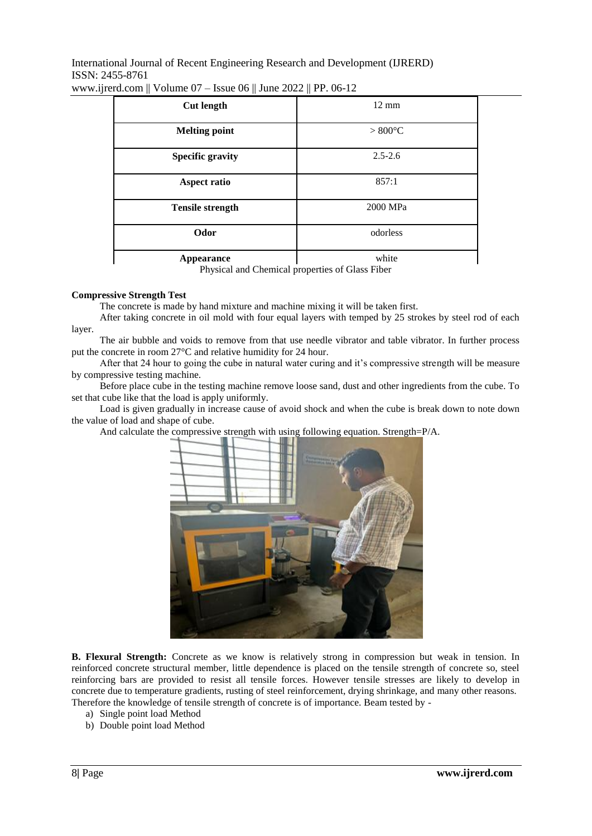International Journal of Recent Engineering Research and Development (IJRERD) ISSN: 2455-8761 www.ijrerd.com || Volume 07 – Issue 06 || June 2022 || PP. 06-12

| <b>Cut length</b>       | $12 \text{ mm}$   |  |  |  |
|-------------------------|-------------------|--|--|--|
| <b>Melting point</b>    | $> 800^{\circ}$ C |  |  |  |
| <b>Specific gravity</b> | $2.5 - 2.6$       |  |  |  |
| <b>Aspect ratio</b>     | 857:1             |  |  |  |
| <b>Tensile strength</b> | 2000 MPa          |  |  |  |
| Odor                    | odorless          |  |  |  |
| Appearance              | white             |  |  |  |

Physical and Chemical properties of Glass Fiber

#### **Compressive Strength Test**

The concrete is made by hand mixture and machine mixing it will be taken first.

After taking concrete in oil mold with four equal layers with temped by 25 strokes by steel rod of each layer.

The air bubble and voids to remove from that use needle vibrator and table vibrator. In further process put the concrete in room 27°C and relative humidity for 24 hour.

After that 24 hour to going the cube in natural water curing and it's compressive strength will be measure by compressive testing machine.

Before place cube in the testing machine remove loose sand, dust and other ingredients from the cube. To set that cube like that the load is apply uniformly.

Load is given gradually in increase cause of avoid shock and when the cube is break down to note down the value of load and shape of cube.

And calculate the compressive strength with using following equation. Strength=P/A.



**B. Flexural Strength:** Concrete as we know is relatively strong in compression but weak in tension. In reinforced concrete structural member, little dependence is placed on the tensile strength of concrete so, steel reinforcing bars are provided to resist all tensile forces. However tensile stresses are likely to develop in concrete due to temperature gradients, rusting of steel reinforcement, drying shrinkage, and many other reasons. Therefore the knowledge of tensile strength of concrete is of importance. Beam tested by -

- a) Single point load Method
- b) Double point load Method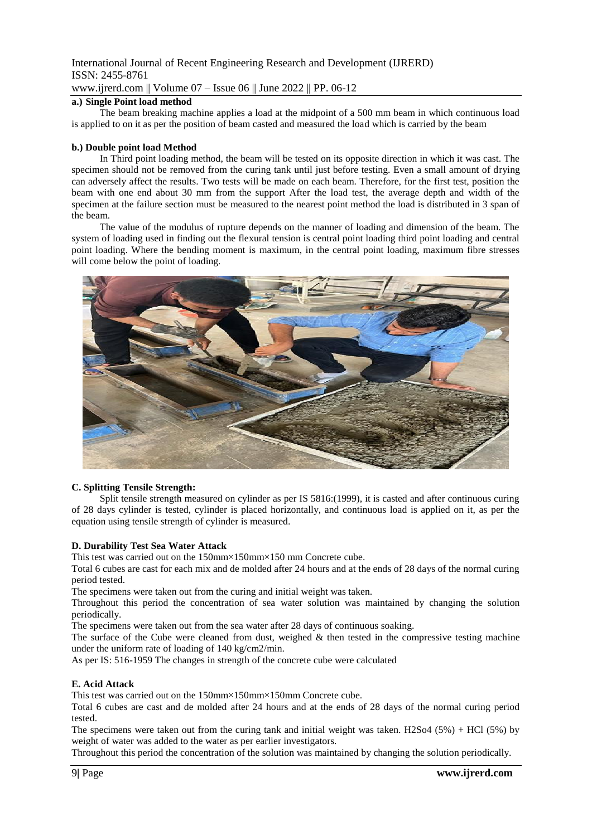# International Journal of Recent Engineering Research and Development (IJRERD) ISSN: 2455-8761 www.ijrerd.com || Volume 07 – Issue 06 || June 2022 || PP. 06-12

### **a.) Single Point load method**

The beam breaking machine applies a load at the midpoint of a 500 mm beam in which continuous load is applied to on it as per the position of beam casted and measured the load which is carried by the beam

#### **b.) Double point load Method**

In Third point loading method, the beam will be tested on its opposite direction in which it was cast. The specimen should not be removed from the curing tank until just before testing. Even a small amount of drying can adversely affect the results. Two tests will be made on each beam. Therefore, for the first test, position the beam with one end about 30 mm from the support After the load test, the average depth and width of the specimen at the failure section must be measured to the nearest point method the load is distributed in 3 span of the beam.

The value of the modulus of rupture depends on the manner of loading and dimension of the beam. The system of loading used in finding out the flexural tension is central point loading third point loading and central point loading. Where the bending moment is maximum, in the central point loading, maximum fibre stresses will come below the point of loading.



#### **C. Splitting Tensile Strength:**

Split tensile strength measured on cylinder as per IS 5816:(1999), it is casted and after continuous curing of 28 days cylinder is tested, cylinder is placed horizontally, and continuous load is applied on it, as per the equation using tensile strength of cylinder is measured.

#### **D. Durability Test Sea Water Attack**

This test was carried out on the 150mm×150mm×150 mm Concrete cube.

Total 6 cubes are cast for each mix and de molded after 24 hours and at the ends of 28 days of the normal curing period tested.

The specimens were taken out from the curing and initial weight was taken.

Throughout this period the concentration of sea water solution was maintained by changing the solution periodically.

The specimens were taken out from the sea water after 28 days of continuous soaking.

The surface of the Cube were cleaned from dust, weighed  $\&$  then tested in the compressive testing machine under the uniform rate of loading of 140 kg/cm2/min.

As per IS: 516-1959 The changes in strength of the concrete cube were calculated

#### **E. Acid Attack**

This test was carried out on the 150mm×150mm×150mm Concrete cube.

Total 6 cubes are cast and de molded after 24 hours and at the ends of 28 days of the normal curing period tested.

The specimens were taken out from the curing tank and initial weight was taken. H2So4 (5%) + HCl (5%) by weight of water was added to the water as per earlier investigators.

Throughout this period the concentration of the solution was maintained by changing the solution periodically.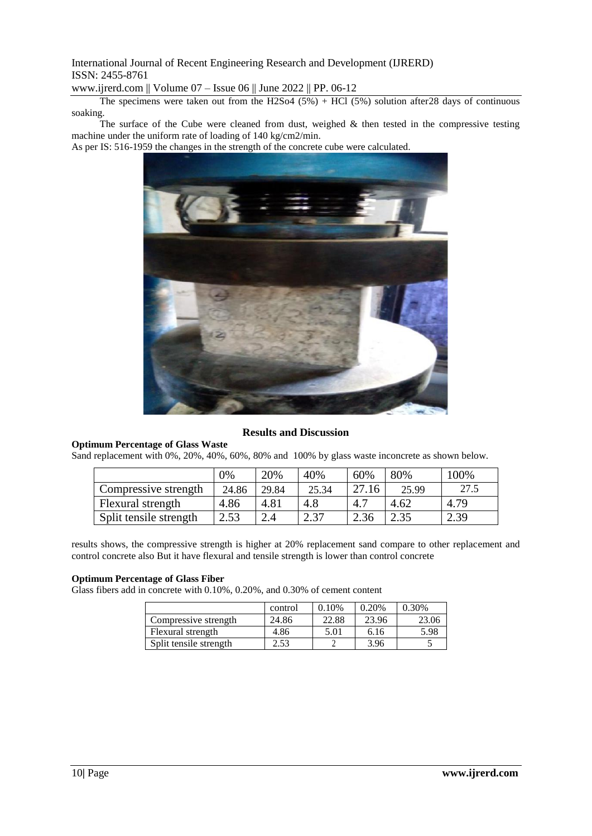International Journal of Recent Engineering Research and Development (IJRERD) ISSN: 2455-8761

www.ijrerd.com || Volume 07 – Issue 06 || June 2022 || PP. 06-12

The specimens were taken out from the H2So4  $(5%)$  + HCl  $(5%)$  solution after 28 days of continuous soaking.

The surface of the Cube were cleaned from dust, weighed & then tested in the compressive testing machine under the uniform rate of loading of 140 kg/cm2/min.

As per IS: 516-1959 the changes in the strength of the concrete cube were calculated.



# **Results and Discussion**

**Optimum Percentage of Glass Waste**

Sand replacement with 0%, 20%, 40%, 60%, 80% and 100% by glass waste inconcrete as shown below.

|                        | 0%    | 20%   | 40%   | 60%   | 80%   | 100% |
|------------------------|-------|-------|-------|-------|-------|------|
| Compressive strength   | 24.86 | 29.84 | 25.34 | 27.16 | 25.99 | 27.5 |
| Flexural strength      | 4.86  | 4.81  | 4.8   | 4.7   | 4.62  | 4.79 |
| Split tensile strength | 2.53  | 2.4   | 2.37  | 2.36  | 2.35  | 2.39 |

results shows, the compressive strength is higher at 20% replacement sand compare to other replacement and control concrete also But it have flexural and tensile strength is lower than control concrete

#### **Optimum Percentage of Glass Fiber**

Glass fibers add in concrete with 0.10%, 0.20%, and 0.30% of cement content

|                        | control | 0.10% | 0.20% | 0.30% |
|------------------------|---------|-------|-------|-------|
| Compressive strength   | 24.86   | 22.88 | 23.96 | 23.06 |
| Flexural strength      | 4.86    | 5.01  | 6.16  | 5.98  |
| Split tensile strength | 2.53    |       | 3.96  |       |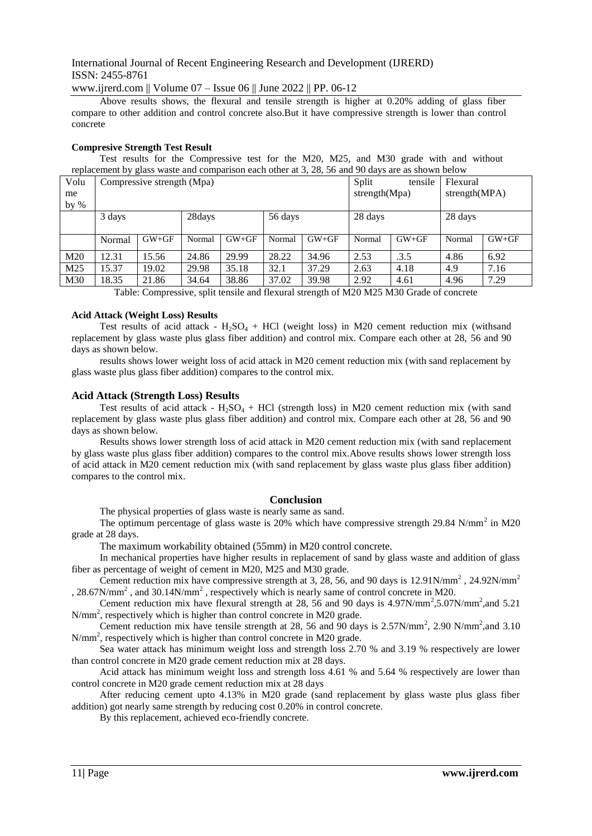# International Journal of Recent Engineering Research and Development (IJRERD) ISSN: 2455-8761

www.ijrerd.com || Volume 07 – Issue 06 || June 2022 || PP. 06-12

Above results shows, the flexural and tensile strength is higher at 0.20% adding of glass fiber compare to other addition and control concrete also.But it have compressive strength is lower than control concrete

#### **Compresive Strength Test Result**

Test results for the Compressive test for the M20, M25, and M30 grade with and without replacement by glass waste and comparison each other at 3, 28, 56 and 90 days are as shown below

| Volu            | - -<br>Compressive strength (Mpa) |         |        |         | tensile<br>Split |                  |         | Flexural         |         |         |  |
|-----------------|-----------------------------------|---------|--------|---------|------------------|------------------|---------|------------------|---------|---------|--|
| me              |                                   |         |        |         |                  | strength $(Mpa)$ |         | strength $(MPA)$ |         |         |  |
| by $%$          |                                   |         |        |         |                  |                  |         |                  |         |         |  |
|                 | 3 days                            |         | 28days |         | 56 days          |                  | 28 days |                  | 28 days |         |  |
|                 |                                   |         |        |         |                  |                  |         |                  |         |         |  |
|                 | Normal                            | $GW+GF$ | Normal | $GW+GF$ | Normal           | $GW+GF$          | Normal  | $GW+GF$          | Normal  | $GW+GF$ |  |
| M <sub>20</sub> | 12.31                             | 15.56   | 24.86  | 29.99   | 28.22            | 34.96            | 2.53    | .3.5             | 4.86    | 6.92    |  |
| M25             | 15.37                             | 19.02   | 29.98  | 35.18   | 32.1             | 37.29            | 2.63    | 4.18             | 4.9     | 7.16    |  |
| M30             | 18.35                             | 21.86   | 34.64  | 38.86   | 37.02            | 39.98            | 2.92    | 4.61             | 4.96    | 7.29    |  |

Table: Compressive, split tensile and flexural strength of M20 M25 M30 Grade of concrete

#### **Acid Attack (Weight Loss) Results**

Test results of acid attack -  $H_2SO_4$  + HCl (weight loss) in M20 cement reduction mix (withsand replacement by glass waste plus glass fiber addition) and control mix. Compare each other at 28, 56 and 90 days as shown below.

results shows lower weight loss of acid attack in M20 cement reduction mix (with sand replacement by glass waste plus glass fiber addition) compares to the control mix.

#### **Acid Attack (Strength Loss) Results**

Test results of acid attack -  $H_2SO_4$  + HCl (strength loss) in M20 cement reduction mix (with sand replacement by glass waste plus glass fiber addition) and control mix. Compare each other at 28, 56 and 90 days as shown below.

Results shows lower strength loss of acid attack in M20 cement reduction mix (with sand replacement by glass waste plus glass fiber addition) compares to the control mix.Above results shows lower strength loss of acid attack in M20 cement reduction mix (with sand replacement by glass waste plus glass fiber addition) compares to the control mix.

#### **Conclusion**

The physical properties of glass waste is nearly same as sand.

The optimum percentage of glass waste is  $20\%$  which have compressive strength 29.84 N/mm<sup>2</sup> in M20 grade at 28 days.

The maximum workability obtained (55mm) in M20 control concrete.

In mechanical properties have higher results in replacement of sand by glass waste and addition of glass fiber as percentage of weight of cement in M20, M25 and M30 grade.

Cement reduction mix have compressive strength at 3, 28, 56, and 90 days is 12.91N/mm<sup>2</sup>, 24.92N/mm<sup>2</sup> , 28.67N/mm<sup>2</sup>, and 30.14N/mm<sup>2</sup>, respectively which is nearly same of control concrete in M20.

Cement reduction mix have flexural strength at 28, 56 and 90 days is  $4.97$ N/mm<sup>2</sup>,5.07N/mm<sup>2</sup>,and 5.21 N/mm<sup>2</sup>, respectively which is higher than control concrete in M20 grade.

Cement reduction mix have tensile strength at 28, 56 and 90 days is  $2.57N/mm^2$ , 2.90 N/mm<sup>2</sup>, and 3.10 N/mm<sup>2</sup>, respectively which is higher than control concrete in M20 grade.

Sea water attack has minimum weight loss and strength loss 2.70 % and 3.19 % respectively are lower than control concrete in M20 grade cement reduction mix at 28 days.

Acid attack has minimum weight loss and strength loss 4.61 % and 5.64 % respectively are lower than control concrete in M20 grade cement reduction mix at 28 days

After reducing cement upto 4.13% in M20 grade (sand replacement by glass waste plus glass fiber addition) got nearly same strength by reducing cost 0.20% in control concrete.

By this replacement, achieved eco-friendly concrete.